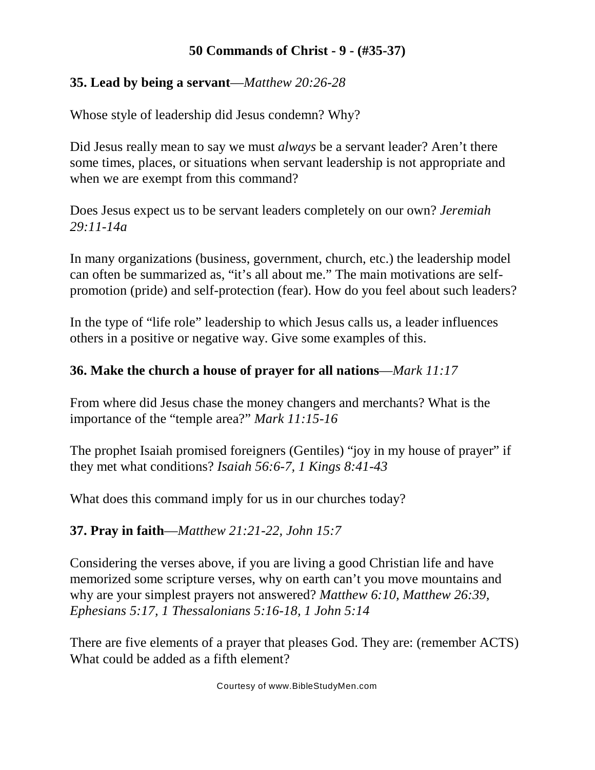## **50 Commands of Christ - 9 - (#35-37)**

#### **35. Lead by being a servant**—*Matthew 20:26-28*

Whose style of leadership did Jesus condemn? Why?

Did Jesus really mean to say we must *always* be a servant leader? Aren't there some times, places, or situations when servant leadership is not appropriate and when we are exempt from this command?

Does Jesus expect us to be servant leaders completely on our own? *Jeremiah 29:11-14a*

In many organizations (business, government, church, etc.) the leadership model can often be summarized as, "it's all about me." The main motivations are selfpromotion (pride) and self-protection (fear). How do you feel about such leaders?

In the type of "life role" leadership to which Jesus calls us, a leader influences others in a positive or negative way. Give some examples of this.

# **36. Make the church a house of prayer for all nations**—*Mark 11:17*

From where did Jesus chase the money changers and merchants? What is the importance of the "temple area?" *Mark 11:15-16*

The prophet Isaiah promised foreigners (Gentiles) "joy in my house of prayer" if they met what conditions? *Isaiah 56:6-7, 1 Kings 8:41-43*

What does this command imply for us in our churches today?

# **37. Pray in faith**—*Matthew 21:21-22, John 15:7*

Considering the verses above, if you are living a good Christian life and have memorized some scripture verses, why on earth can't you move mountains and why are your simplest prayers not answered? *Matthew 6:10, Matthew 26:39, Ephesians 5:17, 1 Thessalonians 5:16-18, 1 John 5:14*

There are five elements of a prayer that pleases God. They are: (remember ACTS) What could be added as a fifth element?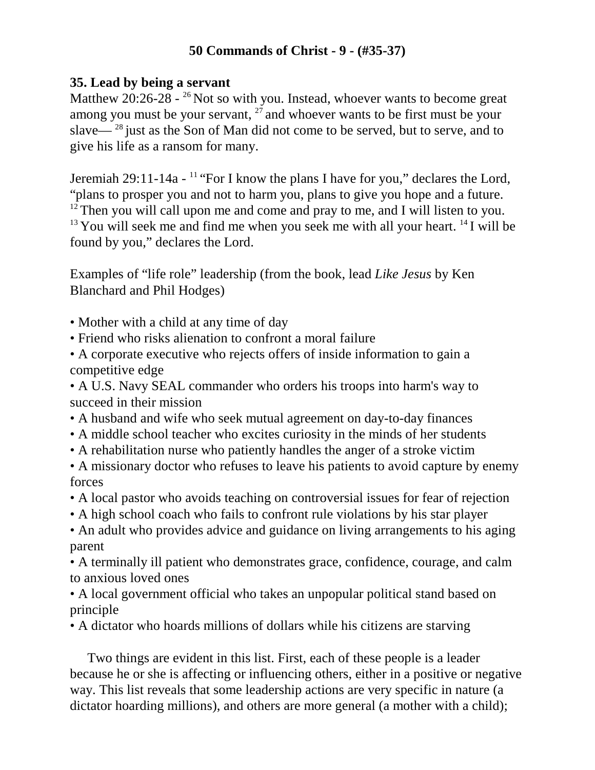## **50 Commands of Christ - 9 - (#35-37)**

#### **35. Lead by being a servant**

Matthew 20:26-28 -  $^{26}$  Not so with you. Instead, whoever wants to become great among you must be your servant,  $27$  and whoever wants to be first must be your slave— $^{28}$  just as the Son of Man did not come to be served, but to serve, and to give his life as a ransom for many.

Jeremiah 29:11-14a -  $11$  "For I know the plans I have for you," declares the Lord, "plans to prosper you and not to harm you, plans to give you hope and a future.  $12$  Then you will call upon me and come and pray to me, and I will listen to you.  $13$  You will seek me and find me when you seek me with all your heart.  $14$  I will be found by you," declares the Lord.

Examples of "life role" leadership (from the book, lead *Like Jesus* by Ken Blanchard and Phil Hodges)

- Mother with a child at any time of day
- Friend who risks alienation to confront a moral failure
- A corporate executive who rejects offers of inside information to gain a competitive edge
- A U.S. Navy SEAL commander who orders his troops into harm's way to succeed in their mission
- A husband and wife who seek mutual agreement on day-to-day finances
- A middle school teacher who excites curiosity in the minds of her students
- A rehabilitation nurse who patiently handles the anger of a stroke victim
- A missionary doctor who refuses to leave his patients to avoid capture by enemy forces
- A local pastor who avoids teaching on controversial issues for fear of rejection
- A high school coach who fails to confront rule violations by his star player
- An adult who provides advice and guidance on living arrangements to his aging parent

• A terminally ill patient who demonstrates grace, confidence, courage, and calm to anxious loved ones

• A local government official who takes an unpopular political stand based on principle

• A dictator who hoards millions of dollars while his citizens are starving

Two things are evident in this list. First, each of these people is a leader because he or she is affecting or influencing others, either in a positive or negative way. This list reveals that some leadership actions are very specific in nature (a dictator hoarding millions), and others are more general (a mother with a child);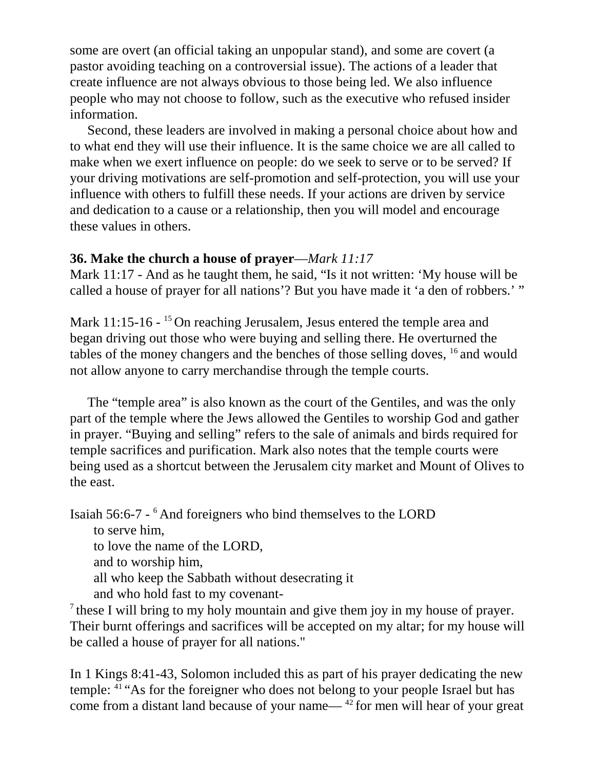some are overt (an official taking an unpopular stand), and some are covert (a pastor avoiding teaching on a controversial issue). The actions of a leader that create influence are not always obvious to those being led. We also influence people who may not choose to follow, such as the executive who refused insider information.

Second, these leaders are involved in making a personal choice about how and to what end they will use their influence. It is the same choice we are all called to make when we exert influence on people: do we seek to serve or to be served? If your driving motivations are self-promotion and self-protection, you will use your influence with others to fulfill these needs. If your actions are driven by service and dedication to a cause or a relationship, then you will model and encourage these values in others.

#### **36. Make the church a house of prayer**—*Mark 11:17*

Mark 11:17 - And as he taught them, he said, "Is it not written: 'My house will be called a house of prayer for all nations'? But you have made it 'a den of robbers.' "

Mark 11:15-16 - <sup>15</sup> On reaching Jerusalem, Jesus entered the temple area and began driving out those who were buying and selling there. He overturned the tables of the money changers and the benches of those selling doves,  $16$  and would not allow anyone to carry merchandise through the temple courts.

The "temple area" is also known as the court of the Gentiles, and was the only part of the temple where the Jews allowed the Gentiles to worship God and gather in prayer. "Buying and selling" refers to the sale of animals and birds required for temple sacrifices and purification. Mark also notes that the temple courts were being used as a shortcut between the Jerusalem city market and Mount of Olives to the east.

Isaiah  $56:6-7$  -  $6$  And foreigners who bind themselves to the LORD

to serve him,

to love the name of the LORD,

and to worship him,

all who keep the Sabbath without desecrating it

and who hold fast to my covenant-

<sup>7</sup> these I will bring to my holy mountain and give them joy in my house of prayer. Their burnt offerings and sacrifices will be accepted on my altar; for my house will be called a house of prayer for all nations."

In 1 Kings 8:41-43, Solomon included this as part of his prayer dedicating the new temple:  $41$  "As for the foreigner who does not belong to your people Israel but has come from a distant land because of your name— $42$  for men will hear of your great